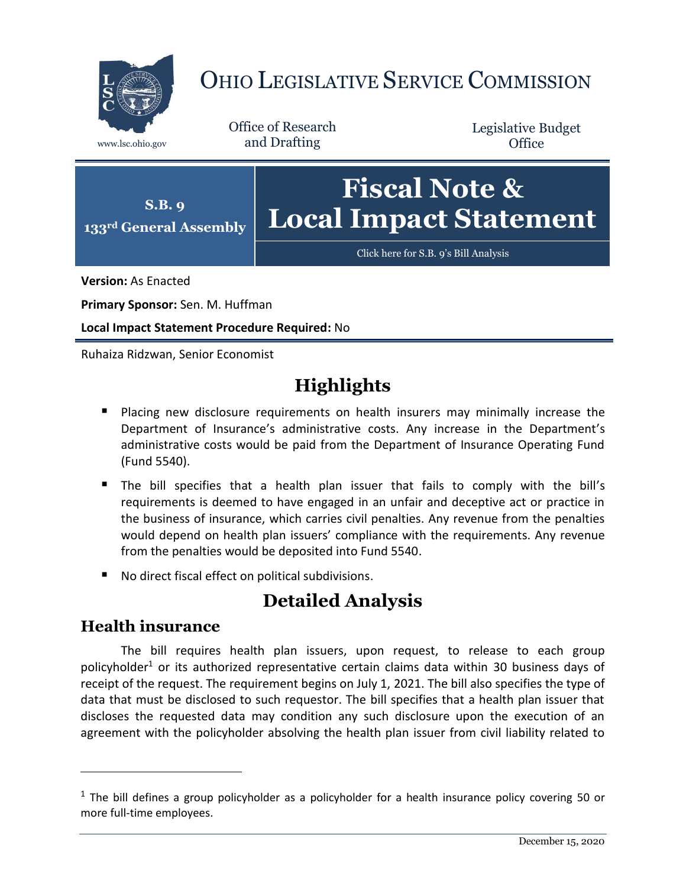

# OHIO LEGISLATIVE SERVICE COMMISSION

Office of Research www.lsc.ohio.gov and Drafting

Legislative Budget **Office** 



[Click here for S.B.](https://www.legislature.ohio.gov/legislation/legislation-documents?id=GA133-SB-9) 9's Bill Analysis

**Version:** As Enacted

**Primary Sponsor:** Sen. M. Huffman

**Local Impact Statement Procedure Required:** No

Ruhaiza Ridzwan, Senior Economist

## **Highlights**

- **Placing new disclosure requirements on health insurers may minimally increase the** Department of Insurance's administrative costs. Any increase in the Department's administrative costs would be paid from the Department of Insurance Operating Fund (Fund 5540).
- The bill specifies that a health plan issuer that fails to comply with the bill's requirements is deemed to have engaged in an unfair and deceptive act or practice in the business of insurance, which carries civil penalties. Any revenue from the penalties would depend on health plan issuers' compliance with the requirements. Any revenue from the penalties would be deposited into Fund 5540.
- No direct fiscal effect on political subdivisions.

### **Detailed Analysis**

#### **Health insurance**

 $\overline{a}$ 

The bill requires health plan issuers, upon request, to release to each group policyholder<sup>1</sup> or its authorized representative certain claims data within 30 business days of receipt of the request. The requirement begins on July 1, 2021. The bill also specifies the type of data that must be disclosed to such requestor. The bill specifies that a health plan issuer that discloses the requested data may condition any such disclosure upon the execution of an agreement with the policyholder absolving the health plan issuer from civil liability related to

 $1$  The bill defines a group policyholder as a policyholder for a health insurance policy covering 50 or more full-time employees.